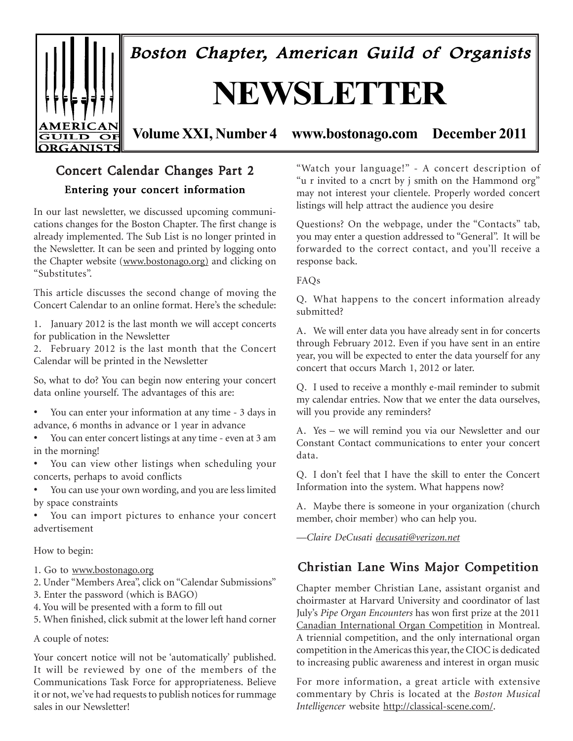

Boston Chapter, American Guild of Organists

# **NEWSLETTER**

**Volume XXI, Number 4 www.bostonago.com December 2011**

# Concert Calendar Changes Part 2

# Entering your concert information

In our last newsletter, we discussed upcoming communications changes for the Boston Chapter. The first change is already implemented. The Sub List is no longer printed in the Newsletter. It can be seen and printed by logging onto the Chapter website (www.bostonago.org) and clicking on "Substitutes".

This article discusses the second change of moving the Concert Calendar to an online format. Here's the schedule:

1. January 2012 is the last month we will accept concerts for publication in the Newsletter

2. February 2012 is the last month that the Concert Calendar will be printed in the Newsletter

So, what to do? You can begin now entering your concert data online yourself. The advantages of this are:

• You can enter your information at any time - 3 days in advance, 6 months in advance or 1 year in advance

• You can enter concert listings at any time - even at 3 am in the morning!

You can view other listings when scheduling your concerts, perhaps to avoid conflicts

• You can use your own wording, and you are less limited by space constraints

• You can import pictures to enhance your concert advertisement

How to begin:

- 1. Go to www.bostonago.org
- 2. Under "Members Area", click on "Calendar Submissions"
- 3. Enter the password (which is BAGO)
- 4. You will be presented with a form to fill out

5. When finished, click submit at the lower left hand corner

A couple of notes:

Your concert notice will not be 'automatically' published. It will be reviewed by one of the members of the Communications Task Force for appropriateness. Believe it or not, we've had requests to publish notices for rummage sales in our Newsletter!

"Watch your language!" - A concert description of "u r invited to a cncrt by j smith on the Hammond org" may not interest your clientele. Properly worded concert listings will help attract the audience you desire

Questions? On the webpage, under the "Contacts" tab, you may enter a question addressed to "General". It will be forwarded to the correct contact, and you'll receive a response back.

FAQs

Q. What happens to the concert information already submitted?

A. We will enter data you have already sent in for concerts through February 2012. Even if you have sent in an entire year, you will be expected to enter the data yourself for any concert that occurs March 1, 2012 or later.

Q. I used to receive a monthly e-mail reminder to submit my calendar entries. Now that we enter the data ourselves, will you provide any reminders?

A. Yes – we will remind you via our Newsletter and our Constant Contact communications to enter your concert data.

Q. I don't feel that I have the skill to enter the Concert Information into the system. What happens now?

A. Maybe there is someone in your organization (church member, choir member) who can help you.

*—Claire DeCusati decusati@verizon.net*

# Christian Lane Wins Major Competition

Chapter member Christian Lane, assistant organist and choirmaster at Harvard University and coordinator of last July's *Pipe Organ Encounters* has won first prize at the 2011 Canadian International Organ Competition in Montreal. A triennial competition, and the only international organ competition in the Americas this year, the CIOC is dedicated to increasing public awareness and interest in organ music

For more information, a great article with extensive commentary by Chris is located at the *Boston Musical Intelligencer* website http://classical-scene.com/.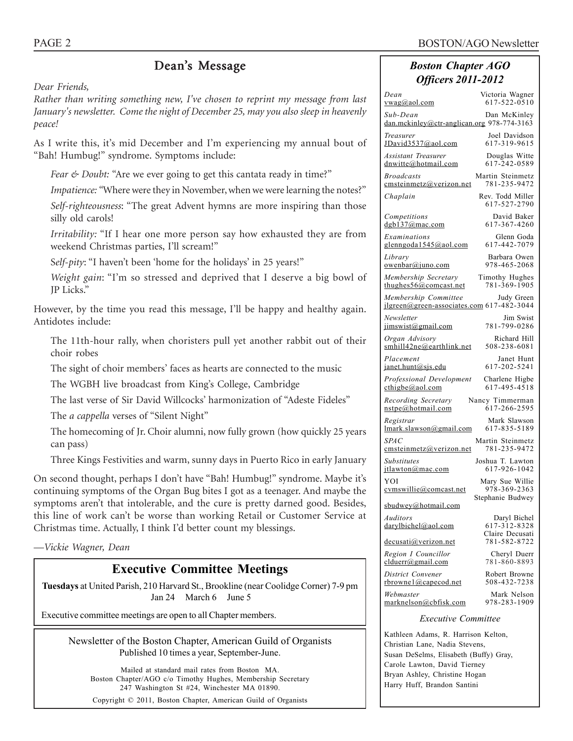# Dean's Message

*Dear Friends,*

*Rather than writing something new, I've chosen to reprint my message from last January's newsletter. Come the night of December 25, may you also sleep in heavenly peace!*

As I write this, it's mid December and I'm experiencing my annual bout of "Bah! Humbug!" syndrome. Symptoms include:

*Fear & Doubt:* "Are we ever going to get this cantata ready in time?"

*Impatience: "*Where were they in November, when we were learning the notes?"

*Self-righteousness*: "The great Advent hymns are more inspiring than those silly old carols!

*Irritability:* "If I hear one more person say how exhausted they are from weekend Christmas parties, I'll scream!"

S*elf-pity*: "I haven't been 'home for the holidays' in 25 years!"

*Weight gain*: "I'm so stressed and deprived that I deserve a big bowl of JP Licks."

However, by the time you read this message, I'll be happy and healthy again. Antidotes include:

The 11th-hour rally, when choristers pull yet another rabbit out of their choir robes

The sight of choir members' faces as hearts are connected to the music

The WGBH live broadcast from King's College, Cambridge

The last verse of Sir David Willcocks' harmonization of "Adeste Fideles"

The *a cappella* verses of "Silent Night"

The homecoming of Jr. Choir alumni, now fully grown (how quickly 25 years can pass)

Three Kings Festivities and warm, sunny days in Puerto Rico in early January

On second thought, perhaps I don't have "Bah! Humbug!" syndrome. Maybe it's continuing symptoms of the Organ Bug bites I got as a teenager. And maybe the symptoms aren't that intolerable, and the cure is pretty darned good. Besides, this line of work can't be worse than working Retail or Customer Service at Christmas time. Actually, I think I'd better count my blessings.

*—Vickie Wagner, Dean*

# **Executive Committee Meetings**

**Tuesdays** at United Parish, 210 Harvard St., Brookline (near Coolidge Corner) 7-9 pm Jan 24 March 6 June 5

Executive committee meetings are open to all Chapter members.

Newsletter of the Boston Chapter, American Guild of Organists Published 10 times a year, September-June.

Mailed at standard mail rates from Boston MA. Boston Chapter/AGO c/o Timothy Hughes, Membership Secretary 247 Washington St #24, Winchester MA 01890.

Copyright © 2011, Boston Chapter, American Guild of Organists

# *Boston Chapter AGO Officers 2011-2012*

| Dean<br><u>vwag@aol.com</u>                                       | Victoria Wagner<br>617-522-0510                 |
|-------------------------------------------------------------------|-------------------------------------------------|
| Sub-Dean<br>dan.mckinley@ctr-anglican.org 978-774-3163            | Dan McKinley                                    |
| Treasurer<br>JDavid3537@aol.com                                   | Joel Davidson<br>617-319-9615                   |
| Assistant Treasurer<br>dnwitte@hotmail.com                        | Douglas Witte<br>617-242-0589                   |
| <b>Broadcasts</b><br>cmsteinmetz@verizon.net                      | Martin Steinmetz<br>781-235-9472                |
| Chaplain                                                          | Rev. Todd Miller<br>617-527-2790                |
| Competitions<br>dgb137@mac.com                                    | David Baker<br>617-367-4260                     |
| Examinations<br>glenngoda1545@aol.com                             | Glenn Goda<br>617-442-7079                      |
| Library<br>owenbar@juno.com                                       | Barbara Owen<br>978-465-2068                    |
| Membership Secretary<br>thughes56@comcast.net                     | Timothy Hughes<br>781-369-1905                  |
| Membership Committee<br>jlgreen@green-associates.com 617-482-3044 | Judy Green                                      |
| Newsletter<br>jimswist@gmail.com                                  | Jim Swist<br>781-799-0286                       |
| Organ Advisory<br>$s$ mhill42ne@earthlink.net                     | Richard Hill<br>508-238-6081                    |
| Placement<br>janet.hunt@sjs.edu                                   | Janet Hunt<br>617-202-5241                      |
| Professional Development<br>$\text{cthigbe}(a)$ aol.com           | Charlene Higbe<br>617-495-4518                  |
| Recording Secretary<br>nstpe@hotmail.com                          | Nancy Timmerman<br>617-266-2595                 |
| Registrar<br>lmark.slawson@gmail.com                              | Mark Slawson<br>617-835-5189                    |
| <i>SPAC</i><br>emsteinmetz@verizon.net                            | Martin Steinmetz<br>781-235-9472                |
| Substitutes<br>jtlawton@mac.com                                   | Joshua T. Lawton<br>617-926-1042                |
| YOI<br>cymswillie@comcast.net                                     | Mary Sue Willie<br>978-369-2363                 |
| sbudwey@hotmail.com                                               | Stephanie Budwey                                |
| Auditors<br>darylbichel@aol.com                                   | Daryl Bichel<br>617-312-8328<br>Claire Decusati |
| <u>decusati@verizon.net</u>                                       | 781-582-8722                                    |
| Region I Councillor<br>clduerr@gmail.com                          | Cheryl Duerr<br>781-860-8893                    |
| District Convener<br><u>rbrownel@capecod.net</u>                  | Robert Browne<br>508-432-7238                   |
| Webmaster<br>marknelson@cbfisk.com                                | Mark Nelson<br>978-283-1909                     |

#### *Executive Committee*

Kathleen Adams, R. Harrison Kelton, Christian Lane, Nadia Stevens, Susan DeSelms, Elisabeth (Buffy) Gray, Carole Lawton, David Tierney Bryan Ashley, Christine Hogan Harry Huff, Brandon Santini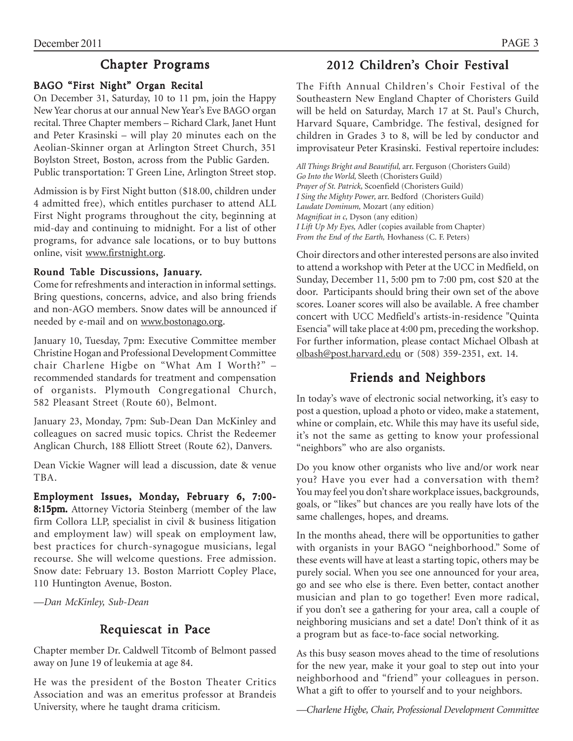# Chapter Programs

# BAGO "First Night" Organ Recital

On December 31, Saturday, 10 to 11 pm, join the Happy New Year chorus at our annual New Year's Eve BAGO organ recital. Three Chapter members – Richard Clark, Janet Hunt and Peter Krasinski – will play 20 minutes each on the Aeolian-Skinner organ at Arlington Street Church, 351 Boylston Street, Boston, across from the Public Garden. Public transportation: T Green Line, Arlington Street stop.

Admission is by First Night button (\$18.00, children under 4 admitted free), which entitles purchaser to attend ALL First Night programs throughout the city, beginning at mid-day and continuing to midnight. For a list of other programs, for advance sale locations, or to buy buttons online, visit www.firstnight.org.

# Round Table Discussions, January.

Come for refreshments and interaction in informal settings. Bring questions, concerns, advice, and also bring friends and non-AGO members. Snow dates will be announced if needed by e-mail and on www.bostonago.org.

January 10, Tuesday, 7pm: Executive Committee member Christine Hogan and Professional Development Committee chair Charlene Higbe on "What Am I Worth?" – recommended standards for treatment and compensation of organists. Plymouth Congregational Church, 582 Pleasant Street (Route 60), Belmont.

January 23, Monday, 7pm: Sub-Dean Dan McKinley and colleagues on sacred music topics. Christ the Redeemer Anglican Church, 188 Elliott Street (Route 62), Danvers.

Dean Vickie Wagner will lead a discussion, date & venue TBA.

Employment Issues, Monday, February 6, 7:00- 8:15pm. Attorney Victoria Steinberg (member of the law firm Collora LLP, specialist in civil & business litigation and employment law) will speak on employment law, best practices for church-synagogue musicians, legal recourse. She will welcome questions. Free admission. Snow date: February 13. Boston Marriott Copley Place, 110 Huntington Avenue, Boston.

*—Dan McKinley, Sub-Dean*

# Requiescat in Pace

Chapter member Dr. Caldwell Titcomb of Belmont passed away on June 19 of leukemia at age 84.

He was the president of the Boston Theater Critics Association and was an emeritus professor at Brandeis University, where he taught drama criticism.

# 2012 Children's Choir Festival

The Fifth Annual Children's Choir Festival of the Southeastern New England Chapter of Choristers Guild will be held on Saturday, March 17 at St. Paul's Church, Harvard Square, Cambridge. The festival, designed for children in Grades 3 to 8, will be led by conductor and improvisateur Peter Krasinski. Festival repertoire includes:

*All Things Bright and Beautiful,* arr. Ferguson (Choristers Guild) *Go Into the World,* Sleeth (Choristers Guild) *Prayer of St. Patrick,* Scoenfield (Choristers Guild) *I Sing the Mighty Power,* arr. Bedford (Choristers Guild) *Laudate Dominum,* Mozart (any edition) *Magnificat in c,* Dyson (any edition) *I Lift Up My Eyes,* Adler (copies available from Chapter) *From the End of the Earth,* Hovhaness (C. F. Peters)

Choir directors and other interested persons are also invited to attend a workshop with Peter at the UCC in Medfield, on Sunday, December 11, 5:00 pm to 7:00 pm, cost \$20 at the door. Participants should bring their own set of the above scores. Loaner scores will also be available. A free chamber concert with UCC Medfield's artists-in-residence "Quinta Esencia" will take place at 4:00 pm, preceding the workshop. For further information, please contact Michael Olbash at olbash@post.harvard.edu or (508) 359-2351, ext. 14.

# Friends and Neighbors

In today's wave of electronic social networking, it's easy to post a question, upload a photo or video, make a statement, whine or complain, etc. While this may have its useful side, it's not the same as getting to know your professional "neighbors" who are also organists.

Do you know other organists who live and/or work near you? Have you ever had a conversation with them? You may feel you don't share workplace issues, backgrounds, goals, or "likes" but chances are you really have lots of the same challenges, hopes, and dreams.

In the months ahead, there will be opportunities to gather with organists in your BAGO "neighborhood." Some of these events will have at least a starting topic, others may be purely social. When you see one announced for your area, go and see who else is there. Even better, contact another musician and plan to go together! Even more radical, if you don't see a gathering for your area, call a couple of neighboring musicians and set a date! Don't think of it as a program but as face-to-face social networking.

As this busy season moves ahead to the time of resolutions for the new year, make it your goal to step out into your neighborhood and "friend" your colleagues in person. What a gift to offer to yourself and to your neighbors.

*—Charlene Higbe, Chair, Professional Development Committee*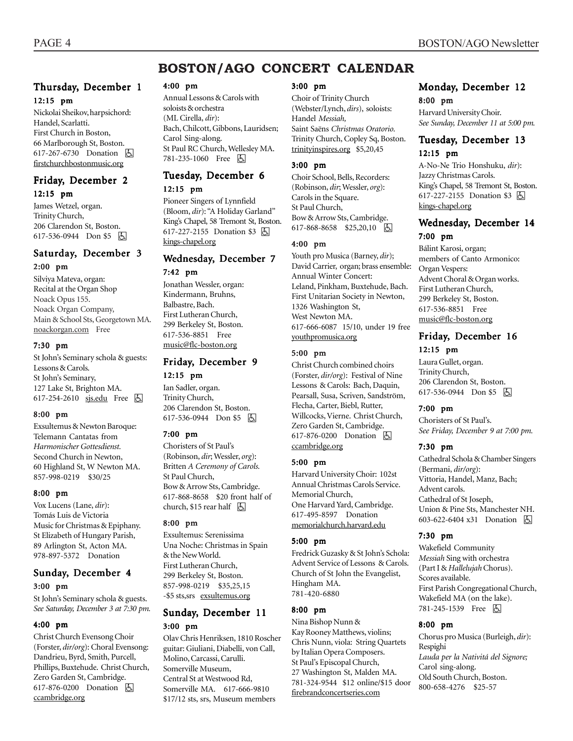# **BOSTON/AGO CONCERT CALENDAR**

# Thursday, December 1 12:15 pm

Nickolai Sheikov, harpsichord: Handel, Scarlatti. First Church in Boston, 66 Marlborough St, Boston. 617-267-6730 Donation h firstchurchbostonmusic.org

### Friday, December 2 12:15 pm

James Wetzel, organ. Trinity Church, 206 Clarendon St, Boston. 617-536-0944 Don \$5 &

# Saturday, December 3 2:00 pm

Silviya Mateva, organ: Recital at the Organ Shop Noack Opus 155. Noack Organ Company, Main & School Sts, Georgetown MA. noackorgan.com Free

#### 7:30 pm

St John's Seminary schola & guests: Lessons & Carols. St John's Seminary, 127 Lake St, Brighton MA. 617-254-2610 sjs.edu Free 因

#### 8:00 pm

Exsultemus & Newton Baroque: Telemann Cantatas from *Harmonischer Gottesdienst.* Second Church in Newton, 60 Highland St, W Newton MA. 857-998-0219 \$30/25

#### 8:00 pm

Vox Lucens (Lane, *dir*): Tomás Luis de Victoria Music for Christmas & Epiphany. St Elizabeth of Hungary Parish, 89 Arlington St, Acton MA. 978-897-5372 Donation

### Sunday, December 4 3:00 pm

St John's Seminary schola & guests. *See Saturday, December 3 at 7:30 pm.*

#### 4:00 pm

Christ Church Evensong Choir (Forster, *dir/org*): Choral Evensong: Dandrieu, Byrd, Smith, Purcell, Phillips, Buxtehude. Christ Church, Zero Garden St, Cambridge. 617-876-0200 Donation  $\boxed{6}$ ccambridge.org

#### 4:00 pm

Annual Lessons & Carols with soloists & orchestra (ML Cirella, *dir*): Bach, Chilcott, Gibbons, Lauridsen; Carol Sing-along. St Paul RC Church, Wellesley MA. 781-235-1060 Free 因

# Tuesday, December 6 12:15 pm

Pioneer Singers of Lynnfield (Bloom, *dir*): "A Holiday Garland" King's Chapel, 58 Tremont St, Boston. 617-227-2155 Donation \$3 囚 kings-chapel.org

### Wednesday, December 7 7:42 pm

Jonathan Wessler, organ: Kindermann, Bruhns, Balbastre, Bach. First Lutheran Church, 299 Berkeley St, Boston. 617-536-8851 Free music@flc-boston.org

# Friday, December 9 12:15 pm

Ian Sadler, organ. Trinity Church, 206 Clarendon St, Boston. 617-536-0944 Don \$5 | A

#### 7:00 pm

Choristers of St Paul's (Robinson, *dir*; Wessler, *org*): Britten *A Ceremony of Carols.* St Paul Church, Bow & Arrow Sts, Cambridge. 617-868-8658 \$20 front half of church, \$15 rear half  $\Box$ 

#### 8:00 pm

Exsultemus: Serenissima Una Noche: Christmas in Spain & the New World. First Lutheran Church, 299 Berkeley St, Boston. 857-998-0219 \$35,25,15 -\$5 sts,srs exsultemus.org

### Sunday, December 11 3:00 pm

Olav Chris Henriksen, 1810 Roscher guitar: Giuliani, Diabelli, von Call, Molino, Carcassi, Carulli. Somerville Museum, Central St at Westwood Rd, Somerville MA. 617-666-9810 \$17/12 sts, srs, Museum members

#### 3:00 pm

Choir of Trinity Church (Webster/Lynch, *dirs*), soloists: Handel *Messiah,* Saint Saëns *Christmas Oratorio.* Trinity Church, Copley Sq, Boston. trinityinspires.org \$5,20,45

#### 3:00 pm

Choir School, Bells, Recorders: (Robinson, *dir*; Wessler, *org*): Carols in the Square. St Paul Church, Bow & Arrow Sts, Cambridge. 617-868-8658 \$25,20,10 因

#### 4:00 pm

Youth pro Musica (Barney, *dir*); David Carrier, organ; brass ensemble: Annual Winter Concert: Leland, Pinkham, Buxtehude, Bach. First Unitarian Society in Newton, 1326 Washington St, West Newton MA. 617-666-6087 15/10, under 19 free youthpromusica.org

#### 5:00 pm

Christ Church combined choirs (Forster, *dir/org*): Festival of Nine Lessons & Carols: Bach, Daquin, Pearsall, Susa, Scriven, Sandström, Flecha, Carter, Biebl, Rutter, Willcocks, Vierne. Christ Church, Zero Garden St, Cambridge. 617-876-0200 Donation  $\Box$ ccambridge.org

#### 5:00 pm

Harvard University Choir: 102st Annual Christmas Carols Service. Memorial Church, One Harvard Yard, Cambridge. 617-495-8597 Donation memorialchurch.harvard.edu

#### 5:00 pm

Fredrick Guzasky & St John's Schola: Advent Service of Lessons & Carols. Church of St John the Evangelist, Hingham MA. 781-420-6880

#### 8:00 pm

Nina Bishop Nunn & Kay Rooney Matthews, violins; Chris Nunn, viola: String Quartets by Italian Opera Composers. St Paul's Episcopal Church, 27 Washington St, Malden MA. 781-324-9544 \$12 online/\$15 door firebrandconcertseries.com

### Monday, December 12 8:00 pm

Harvard University Choir. *See Sunday, December 11 at 5:00 pm.*

# Tuesday, December 13 12:15 pm

A-No-Ne Trio Honshuku, *dir*): Jazzy Christmas Carols. King's Chapel, 58 Tremont St, Boston. 617-227-2155 Donation \$3 因 kings-chapel.org

### Wednesday, December 14 7:00 pm

Bálint Karosi, organ; members of Canto Armonico: Organ Vespers: Advent Choral & Organ works. First Lutheran Church, 299 Berkeley St, Boston. 617-536-8851 Free music@flc-boston.org

# Friday, December 16 12:15 pm

Laura Gullet, organ. Trinity Church, 206 Clarendon St, Boston.  $617-536-0944$  Don \$5  $\boxed{6}$ 

#### 7:00 pm

Choristers of St Paul's. *See Friday, December 9 at 7:00 pm.*

#### 7:30 pm

Cathedral Schola & Chamber Singers (Bermani, *dir/org*): Vittoria, Handel, Manz, Bach; Advent carols. Cathedral of St Joseph, Union & Pine Sts, Manchester NH. 603-622-6404 x31 Donation h

#### 7:30 pm

Wakefield Community *Messiah* Sing with orchestra (Part I & *Hallelujah* Chorus). Scores available. First Parish Congregational Church, Wakefield MA (on the lake). 781-245-1539 Free 因

#### 8:00 pm

Chorus pro Musica (Burleigh, *dir*): Respighi *Lauda per la Nativitá del Signore;* Carol sing-along. Old South Church, Boston. 800-658-4276 \$25-57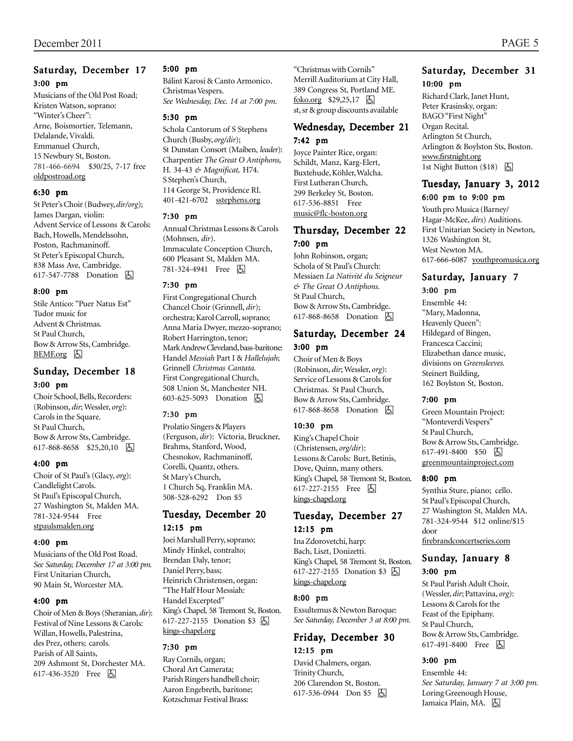# Saturday, December 17 3:00 pm

Musicians of the Old Post Road; Kristen Watson, soprano: "Winter's Cheer": Arne, Boismortier, Telemann, Delalande, Vivaldi. Emmanuel Church, 15 Newbury St, Boston. 781-466-6694 \$30/25, 7-17 free oldpostroad.org

#### 6:30 pm

St Peter's Choir (Budwey, *dir/org*); James Dargan, violin: Advent Service of Lessons & Carols: Bach, Howells, Mendelssohn, Poston, Rachmaninoff. St Peter's Episcopal Church, 838 Mass Ave, Cambridge. 617-547-7788 Donation **A** 

#### 8:00 pm

Stile Antico: "Puer Natus Est" Tudor music for Advent & Christmas. St Paul Church, Bow & Arrow Sts, Cambridge.  $BEMF.org$   $\&$ 

### Sunday, December 18 3:00 pm

Choir School, Bells, Recorders: (Robinson, *dir*; Wessler, *org*): Carols in the Square. St Paul Church, Bow & Arrow Sts, Cambridge. 617-868-8658 \$25,20,10 因

#### 4:00 pm

Choir of St Paul's (Glacy, *org*): Candlelight Carols. St Paul's Episcopal Church, 27 Washington St, Malden MA. 781-324-9544 Free stpaulsmalden.org

#### 4:00 pm

Musicians of the Old Post Road. *See Saturday, December 17 at 3:00 pm.* First Unitarian Church, 90 Main St, Worcester MA.

#### 4:00 pm

Choir of Men & Boys (Sheranian, *dir*): Festival of Nine Lessons & Carols: Willan, Howells, Palestrina, des Prez, others; carols. Parish of All Saints, 209 Ashmont St, Dorchester MA. 617-436-3520 Free **b** 

#### 5:00 pm

Bálint Karosi & Canto Armonico. Christmas Vespers. *See Wednesday, Dec. 14 at 7:00 pm.*

#### 5:30 pm

Schola Cantorum of S Stephens Church (Busby, *org/dir*); St Dunstan Consort (Maiben, *leader*): Charpentier *The Great O Antiphons,* H. 34-43 *& Magnificat,* H74. S Stephen's Church, 114 George St, Providence RI. 401-421-6702 sstephens.org

#### 7:30 pm

Annual Christmas Lessons & Carols (Mohnsen, *dir*). Immaculate Conception Church, 600 Pleasant St, Malden MA. 781-324-4941 Free 因

#### 7:30 pm

First Congregational Church Chancel Choir (Grinnell, *dir*); orchestra; Karol Carroll, soprano; Anna Maria Dwyer, mezzo-soprano; Robert Harrington, tenor; Mark Andrew Cleveland, bass-baritone: Handel *Messiah* Part I & *Hallelujah*; Grinnell *Christmas Cantata.* First Congregational Church, 508 Union St, Manchester NH. 603-625-5093 Donation **b** 

#### 7:30 pm

Prolatio Singers & Players (Ferguson, *dir*): Victoria, Bruckner, Brahms, Stanford, Wood, Chesnokov, Rachmaninoff, Corelli, Quantz, others. St Mary's Church, 1 Church Sq, Franklin MA. 508-528-6292 Don \$5

#### Tuesday, December 20 12:15 pm

Joei Marshall Perry, soprano; Mindy Hinkel, contralto; Brendan Daly, tenor; Daniel Perry, bass; Heinrich Christensen, organ: "The Half Hour Messiah: Handel Excerpted" King's Chapel, 58 Tremont St, Boston. 617-227-2155 Donation \$3 <a> kings-chapel.org

#### 7:30 pm

Ray Cornils, organ; Choral Art Camerata; Parish Ringers handbell choir; Aaron Engebreth, baritone; Kotzschmar Festival Brass:

"Christmas with Cornils" Merrill Auditorium at City Hall, 389 Congress St, Portland ME. foko.org  $$29,25,17$   $\Box$ st, sr & group discounts available

# Wednesday, December 21 7:42 pm

Joyce Painter Rice, organ: Schildt, Manz, Karg-Elert, Buxtehude, Köhler, Walcha. First Lutheran Church, 299 Berkeley St, Boston. 617-536-8851 Free music@flc-boston.org

### Thursday, December 22 7:00 pm

John Robinson, organ; Schola of St Paul's Church: Messiaen *La Nativité du Seigneur & The Great O Antiphons.* St Paul Church, Bow & Arrow Sts, Cambridge. 617-868-8658 Donation **b** 

# Saturday, December 24 3:00 pm

Choir of Men & Boys (Robinson, *dir*; Wessler, *org*): Service of Lessons & Carols for Christmas. St Paul Church, Bow & Arrow Sts, Cambridge. 617-868-8658 Donation **b** 

#### 10:30 pm

King's Chapel Choir (Christensen, *org/dir*): Lessons & Carols: Burt, Betinis, Dove, Quinn, many others. King's Chapel, 58 Tremont St, Boston. 617-227-2155 Free  $\boxed{6}$ kings-chapel.org

### Tuesday, December 27 12:15 pm

Ina Zdorovetchi, harp: Bach, Liszt, Donizetti. King's Chapel, 58 Tremont St, Boston. 617-227-2155 Donation \$3 **A** kings-chapel.org

#### 8:00 pm

Exsultemus & Newton Baroque: *See Saturday, December 3 at 8:00 pm.*

### Friday, December 30 12:15 pm

David Chalmers, organ. Trinity Church, 206 Clarendon St, Boston. 617-536-0944 Don \$5  $\Box$ 

# Saturday, December 31 10:00 pm

Richard Clark, Janet Hunt, Peter Krasinsky, organ: BAGO "First Night" Organ Recital. Arlington St Church, Arlington & Boylston Sts, Boston. www.firstnight.org 1st Night Button  $(\$18)$  [ $\Box$ ]

# Tuesday, January 3, 2012

#### 6:00 pm to 9:00 pm

Youth pro Musica (Barney/ Hagar-McKee, *dirs*) Auditions. First Unitarian Society in Newton, 1326 Washington St, West Newton MA. 617-666-6087 youthpromusica.org

### Saturday, January 7 3:00 pm

Ensemble 44: "Mary, Madonna, Heavenly Queen": Hildegard of Bingen, Francesca Caccini; Elizabethan dance music, divisions on *Greensleeves.* Steinert Building, 162 Boylston St, Boston.

#### 7:00 pm

Green Mountain Project: "Monteverdi Vespers" St Paul Church, Bow & Arrow Sts, Cambridge. 617-491-8400 \$50 因 greenmountainproject.com

#### 8:00 pm

Synthia Sture, piano; cello. St Paul's Episcopal Church, 27 Washington St, Malden MA. 781-324-9544 \$12 online/\$15 door firebrandconcertseries.com

### Sunday, January 8 3:00 pm

St Paul Parish Adult Choir, (Wessler, *dir*; Pattavina, *org*): Lessons & Carols for the Feast of the Epiphany. St Paul Church, Bow & Arrow Sts, Cambridge. 617-491-8400 Free **b** 

#### 3:00 pm

Ensemble 44: *See Saturday, January 7 at 3:00 pm.* Loring Greenough House, Jamaica Plain, MA. **b**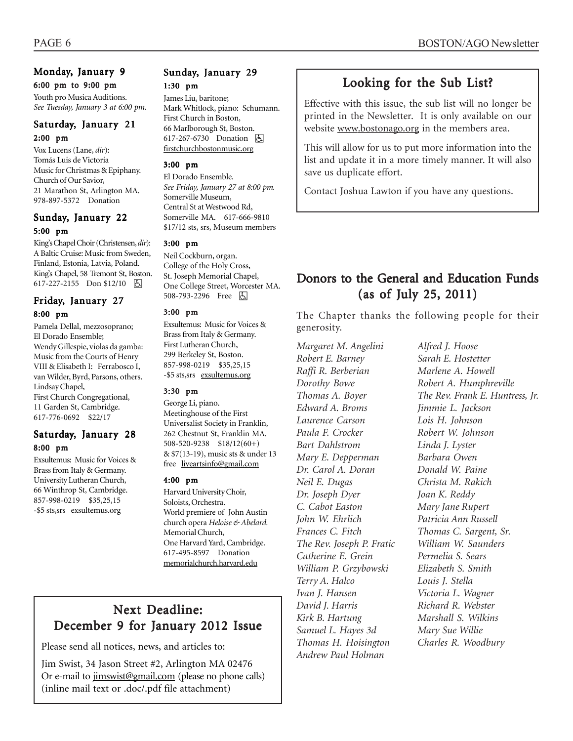# Monday, January 9

# 6:00 pm to 9:00 pm

Youth pro Musica Auditions. *See Tuesday, January 3 at 6:00 pm.*

# Saturday, January 21 2:00 pm

Vox Lucens (Lane, *dir*): Tomás Luis de Victoria Music for Christmas & Epiphany. Church of Our Savior, 21 Marathon St, Arlington MA. 978-897-5372 Donation

# Sunday, January 22 5:00 pm

King's Chapel Choir (Christensen, *dir*): A Baltic Cruise: Music from Sweden, Finland, Estonia, Latvia, Poland. King's Chapel, 58 Tremont St, Boston. 617-227-2155 Don \$12/10  $\boxed{6}$ 

# Friday, January 27 8:00 pm

Pamela Dellal, mezzosoprano; El Dorado Ensemble; Wendy Gillespie, violas da gamba: Music from the Courts of Henry VIII & Elisabeth I: Ferrabosco I, van Wilder, Byrd, Parsons, others. Lindsay Chapel, First Church Congregational, 11 Garden St, Cambridge. 617-776-0692 \$22/17

### Saturday, January 28 8:00 pm

Exsultemus: Music for Voices & Brass from Italy & Germany. University Lutheran Church, 66 Winthrop St, Cambridge. 857-998-0219 \$35,25,15 -\$5 sts,srs exsultemus.org

# Sunday, January 29 1:30 pm

James Liu, baritone; Mark Whitlock, piano: Schumann. First Church in Boston, 66 Marlborough St, Boston. 617-267-6730 Donation **A** firstchurchbostonmusic.org

#### 3:00 pm

El Dorado Ensemble. *See Friday, January 27 at 8:00 pm.* Somerville Museum, Central St at Westwood Rd, Somerville MA. 617-666-9810 \$17/12 sts, srs, Museum members

#### 3:00 pm

Neil Cockburn, organ. College of the Holy Cross, St. Joseph Memorial Chapel, One College Street, Worcester MA. 508-793-2296 Free 因

#### 3:00 pm

Exsultemus: Music for Voices & Brass from Italy & Germany. First Lutheran Church, 299 Berkeley St, Boston. 857-998-0219 \$35,25,15 -\$5 sts,srs exsultemus.org

#### 3:30 pm

George Li, piano. Meetinghouse of the First Universalist Society in Franklin, 262 Chestnut St, Franklin MA. 508-520-9238 \$18/12(60+) & \$7(13-19), music sts & under 13 free liveartsinfo@gmail.com

#### 4:00 pm

Harvard University Choir, Soloists, Orchestra. World premiere of John Austin church opera *Heloise & Abelard.* Memorial Church, One Harvard Yard, Cambridge. 617-495-8597 Donation memorialchurch.harvard.edu

# Next Deadline: December 9 for January 2012 Issue

Please send all notices, news, and articles to:

Jim Swist, 34 Jason Street #2, Arlington MA 02476 Or e-mail to jimswist@gmail.com (please no phone calls) (inline mail text or .doc/.pdf file attachment)

# Looking for the Sub List?

Effective with this issue, the sub list will no longer be printed in the Newsletter. It is only available on our website www.bostonago.org in the members area.

This will allow for us to put more information into the list and update it in a more timely manner. It will also save us duplicate effort.

Contact Joshua Lawton if you have any questions.

# Donors to the General and Education Funds  $(as of July 25, 2011)$

The Chapter thanks the following people for their generosity.

*Margaret M. Angelini Robert E. Barney Raffi R. Berberian Dorothy Bowe Thomas A. Boyer Edward A. Broms Laurence Carson Paula F. Crocker Bart Dahlstrom Mary E. Depperman Dr. Carol A. Doran Neil E. Dugas Dr. Joseph Dyer C. Cabot Easton John W. Ehrlich Frances C. Fitch The Rev. Joseph P. Fratic Catherine E. Grein William P. Grzybowski Terry A. Halco Ivan J. Hansen David J. Harris Kirk B. Hartung Samuel L. Hayes 3d Thomas H. Hoisington Andrew Paul Holman*

*Alfred J. Hoose Sarah E. Hostetter Marlene A. Howell Robert A. Humphreville The Rev. Frank E. Huntress, Jr. Jimmie L. Jackson Lois H. Johnson Robert W. Johnson Linda J. Lyster Barbara Owen Donald W. Paine Christa M. Rakich Joan K. Reddy Mary Jane Rupert Patricia Ann Russell Thomas C. Sargent, Sr. William W. Saunders Permelia S. Sears Elizabeth S. Smith Louis J. Stella Victoria L. Wagner Richard R. Webster Marshall S. Wilkins Mary Sue Willie Charles R. Woodbury*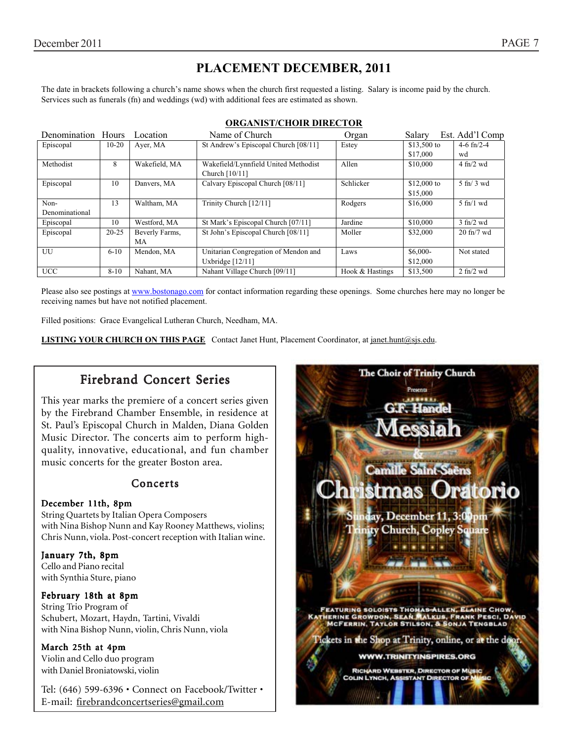# **PLACEMENT DECEMBER, 2011**

The date in brackets following a church's name shows when the church first requested a listing. Salary is income paid by the church. Services such as funerals (fn) and weddings (wd) with additional fees are estimated as shown.

| Denomination Hours |           | Location       | Name of Church                                         | Organ           | Salary       | Est. Add'l Comp                 |
|--------------------|-----------|----------------|--------------------------------------------------------|-----------------|--------------|---------------------------------|
| Episcopal          | $10-20$   | Ayer, MA       | St Andrew's Episcopal Church [08/11]                   | Estey           | $$13,500$ to | 4-6 $fn/2-4$                    |
|                    |           |                |                                                        |                 | \$17,000     | wd                              |
| Methodist          | 8         | Wakefield, MA  | Wakefield/Lynnfield United Methodist<br>Church [10/11] | Allen           | \$10,000     | $4$ fn/2 wd                     |
| Episcopal          | 10        | Danvers, MA    | Calvary Episcopal Church [08/11]                       | Schlicker       | \$12,000 to  | $5 \text{ ft} / 3 \text{ wd}$   |
|                    |           |                |                                                        |                 | \$15,000     |                                 |
| Non-               | 13        | Waltham, MA    | Trinity Church [12/11]                                 | Rodgers         | \$16,000     | $5$ fn/1 wd                     |
| Denominational     |           |                |                                                        |                 |              |                                 |
| Episcopal          | 10        | Westford, MA   | St Mark's Episcopal Church [07/11]                     | Jardine         | \$10,000     | $3$ fn/2 wd                     |
| Episcopal          | $20 - 25$ | Beverly Farms, | St John's Episcopal Church [08/11]                     | Moller          | \$32,000     | $20$ fn/7 wd                    |
|                    |           | МA             |                                                        |                 |              |                                 |
| UU                 | $6 - 10$  | Mendon, MA     | Unitarian Congregation of Mendon and                   | Laws            | $$6,000-$    | Not stated                      |
|                    |           |                | Uxbridge $[12/11]$                                     |                 | \$12,000     |                                 |
| <b>UCC</b>         | $8 - 10$  | Nahant, MA     | Nahant Village Church [09/11]                          | Hook & Hastings | \$13,500     | $2 \text{ ft}$ / $2 \text{ wd}$ |

#### **ORGANIST/CHOIR DIRECTOR**

Please also see postings at www.bostonago.com for contact information regarding these openings. Some churches here may no longer be receiving names but have not notified placement.

Filled positions: Grace Evangelical Lutheran Church, Needham, MA.

**LISTING YOUR CHURCH ON THIS PAGE** Contact Janet Hunt, Placement Coordinator, at janet.hunt@sjs.edu.

# Firebrand Concert Series

This year marks the premiere of a concert series given by the Firebrand Chamber Ensemble, in residence at St. Paul's Episcopal Church in Malden, Diana Golden Music Director. The concerts aim to perform highquality, innovative, educational, and fun chamber music concerts for the greater Boston area.

### **Concerts**

#### December 11th, 8pm

String Quartets by Italian Opera Composers with Nina Bishop Nunn and Kay Rooney Matthews, violins; Chris Nunn, viola. Post-concert reception with Italian wine.

January 7th, 8pm Cello and Piano recital with Synthia Sture, piano

#### February 18th at 8pm

String Trio Program of Schubert, Mozart, Haydn, Tartini, Vivaldi with Nina Bishop Nunn, violin, Chris Nunn, viola

#### March 25th at 4pm

Violin and Cello duo program with Daniel Broniatowski, violin

Tel: (646) 599-6396 • Connect on Facebook/Twitter • E-mail: firebrandconcertseries@gmail.com